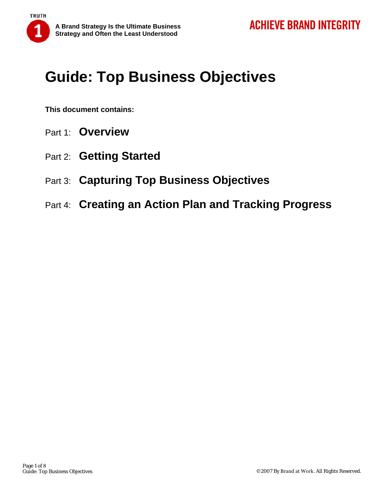# **Guide: Top Business Objectives**

**This document contains:** 

**TRUTH** 

- Part 1: **Overview**
- Part 2: **Getting Started**
- Part 3: **Capturing Top Business Objectives**
- Part 4: **Creating an Action Plan and Tracking Progress**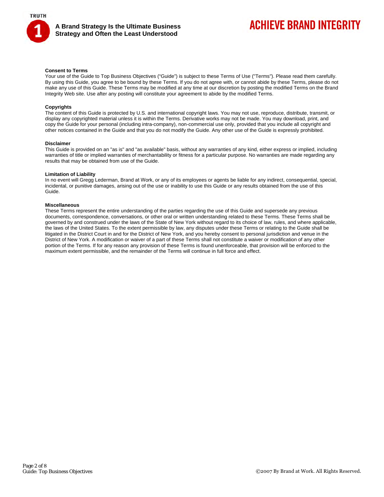

#### **Consent to Terms**

Your use of the Guide to Top Business Objectives ("Guide") is subject to these Terms of Use ("Terms"). Please read them carefully. By using this Guide, you agree to be bound by these Terms. If you do not agree with, or cannot abide by these Terms, please do not make any use of this Guide. These Terms may be modified at any time at our discretion by posting the modified Terms on the Brand Integrity Web site. Use after any posting will constitute your agreement to abide by the modified Terms.

#### **Copyrights**

The content of this Guide is protected by U.S. and international copyright laws. You may not use, reproduce, distribute, transmit, or display any copyrighted material unless it is within the Terms. Derivative works may not be made. You may download, print, and copy the Guide for your personal (including intra-company), non-commercial use only, provided that you include all copyright and other notices contained in the Guide and that you do not modify the Guide. Any other use of the Guide is expressly prohibited.

#### **Disclaimer**

This Guide is provided on an "as is" and "as available" basis, without any warranties of any kind, either express or implied, including warranties of title or implied warranties of merchantability or fitness for a particular purpose. No warranties are made regarding any results that may be obtained from use of the Guide.

#### **Limitation of Liability**

In no event will Gregg Lederman, Brand at Work, or any of its employees or agents be liable for any indirect, consequential, special, incidental, or punitive damages, arising out of the use or inability to use this Guide or any results obtained from the use of this Guide.

#### **Miscellaneous**

These Terms represent the entire understanding of the parties regarding the use of this Guide and supersede any previous documents, correspondence, conversations, or other oral or written understanding related to these Terms. These Terms shall be governed by and construed under the laws of the State of New York without regard to its choice of law, rules, and where applicable, the laws of the United States. To the extent permissible by law, any disputes under these Terms or relating to the Guide shall be litigated in the District Court in and for the District of New York, and you hereby consent to personal jurisdiction and venue in the District of New York. A modification or waiver of a part of these Terms shall not constitute a waiver or modification of any other portion of the Terms. If for any reason any provision of these Terms is found unenforceable, that provision will be enforced to the maximum extent permissible, and the remainder of the Terms will continue in full force and effect.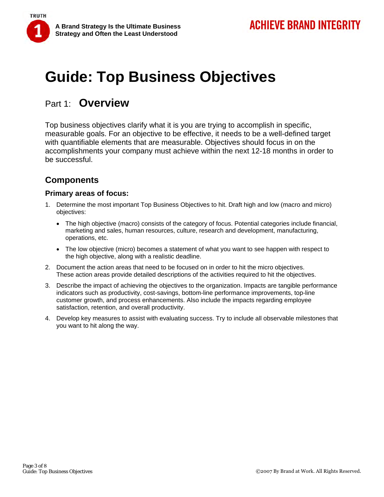# **Guide: Top Business Objectives**

## Part 1: **Overview**

**TRUTH** 

Top business objectives clarify what it is you are trying to accomplish in specific, measurable goals. For an objective to be effective, it needs to be a well-defined target with quantifiable elements that are measurable. Objectives should focus in on the accomplishments your company must achieve within the next 12-18 months in order to be successful.

### **Components**

### **Primary areas of focus:**

- 1. Determine the most important Top Business Objectives to hit. Draft high and low (macro and micro) objectives:
	- The high objective (macro) consists of the category of focus. Potential categories include financial, marketing and sales, human resources, culture, research and development, manufacturing, operations, etc.
	- The low objective (micro) becomes a statement of what you want to see happen with respect to the high objective, along with a realistic deadline.
- 2. Document the action areas that need to be focused on in order to hit the micro objectives. These action areas provide detailed descriptions of the activities required to hit the objectives.
- 3. Describe the impact of achieving the objectives to the organization. Impacts are tangible performance indicators such as productivity, cost-savings, bottom-line performance improvements, top-line customer growth, and process enhancements. Also include the impacts regarding employee satisfaction, retention, and overall productivity.
- 4. Develop key measures to assist with evaluating success. Try to include all observable milestones that you want to hit along the way.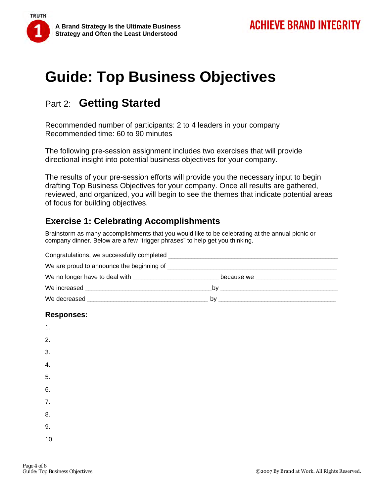

# **Guide: Top Business Objectives**

# Part 2: **Getting Started**

Recommended number of participants: 2 to 4 leaders in your company Recommended time: 60 to 90 minutes

The following pre-session assignment includes two exercises that will provide directional insight into potential business objectives for your company.

The results of your pre-session efforts will provide you the necessary input to begin drafting Top Business Objectives for your company. Once all results are gathered, reviewed, and organized, you will begin to see the themes that indicate potential areas of focus for building objectives.

## **Exercise 1: Celebrating Accomplishments**

Brainstorm as many accomplishments that you would like to be celebrating at the annual picnic or company dinner. Below are a few "trigger phrases" to help get you thinking.

| Congratulations, we successfully completed <b>constant of the control of the control of the control of the control of the control of the control of the control of the control of the control of the control of the control of t</b> |    |
|--------------------------------------------------------------------------------------------------------------------------------------------------------------------------------------------------------------------------------------|----|
|                                                                                                                                                                                                                                      |    |
|                                                                                                                                                                                                                                      |    |
|                                                                                                                                                                                                                                      |    |
| We decreased a series of the series of the series of the series of the series of the series of the series of the series of the series of the series of the series of the series of the series of the series of the series of t       | by |

### **Responses:**

| 1.  |  |  |  |
|-----|--|--|--|
| 2.  |  |  |  |
| 3.  |  |  |  |
| 4.  |  |  |  |
| 5.  |  |  |  |
| 6.  |  |  |  |
| 7.  |  |  |  |
| 8.  |  |  |  |
| 9.  |  |  |  |
| 10. |  |  |  |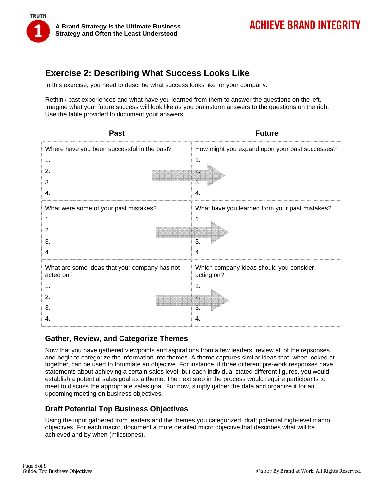

### **Exercise 2: Describing What Success Looks Like**

In this exercise, you need to describe what success looks like for your company.

Rethink past experiences and what have you learned from them to answer the questions on the left. Imagine what your future success will look like as you brainstorm answers to the questions on the right. Use the table provided to document your answers.

| <b>Past</b>                                                | <b>Future</b>                                         |
|------------------------------------------------------------|-------------------------------------------------------|
| Where have you been successful in the past?                | How might you expand upon your past successes?        |
|                                                            |                                                       |
|                                                            |                                                       |
|                                                            |                                                       |
|                                                            |                                                       |
| What were some of your past mistakes?                      | What have you learned from your past mistakes?        |
|                                                            |                                                       |
|                                                            | $\overline{2}$                                        |
|                                                            | 3                                                     |
|                                                            | 4.                                                    |
| What are some ideas that your company has not<br>acted on? | Which company ideas should you consider<br>acting on? |
|                                                            |                                                       |
|                                                            |                                                       |
|                                                            | 3                                                     |
|                                                            | 4                                                     |

### **Gather, Review, and Categorize Themes**

Now that you have gathered viewpoints and aspirations from a few leaders, review all of the repsonses and begin to categorize the information into themes. A theme captures similar ideas that, when looked at together, can be used to forumlate an objective. For instance, if three different pre-work responses have statements about achieving a certain sales level, but each individual stated different figures, you would establish a potential sales goal as a theme. The next step in the process would require participants to meet to discuss the appropriate sales goal. For now, simply gather the data and organize it for an upcoming meeting on business objectives.

### **Draft Potential Top Business Objectives**

Using the input gathered from leaders and the themes you categorized, draft potential high-level macro objectives. For each macro, document a more detailed micro objective that describes what will be achieved and by when (milestones).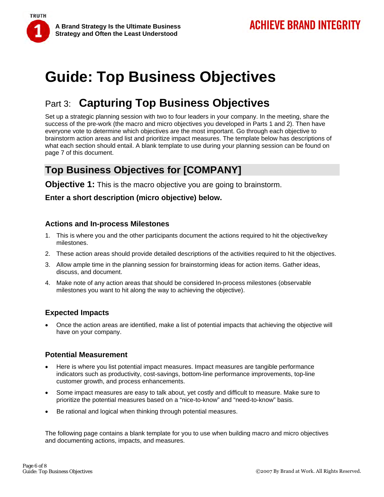**TRUTH** 

# **Guide: Top Business Objectives**

# Part 3: **Capturing Top Business Objectives**

Set up a strategic planning session with two to four leaders in your company. In the meeting, share the success of the pre-work (the macro and micro objectives you developed in Parts 1 and 2). Then have everyone vote to determine which objectives are the most important. Go through each objective to brainstorm action areas and list and prioritize impact measures. The template below has descriptions of what each section should entail. A blank template to use during your planning session can be found on page 7 of this document.

## **Top Business Objectives for [COMPANY]**

**Objective 1:** This is the macro objective you are going to brainstorm.

### **Enter a short description (micro objective) below.**

### **Actions and In-process Milestones**

- 1. This is where you and the other participants document the actions required to hit the objective/key milestones.
- 2. These action areas should provide detailed descriptions of the activities required to hit the objectives.
- 3. Allow ample time in the planning session for brainstorming ideas for action items. Gather ideas, discuss, and document.
- 4. Make note of any action areas that should be considered In-process milestones (observable milestones you want to hit along the way to achieving the objective).

### **Expected Impacts**

• Once the action areas are identified, make a list of potential impacts that achieving the objective will have on your company.

### **Potential Measurement**

- Here is where you list potential impact measures. Impact measures are tangible performance indicators such as productivity, cost-savings, bottom-line performance improvements, top-line customer growth, and process enhancements.
- Some impact measures are easy to talk about, yet costly and difficult to measure. Make sure to prioritize the potential measures based on a "nice-to-know" and "need-to-know" basis.
- Be rational and logical when thinking through potential measures.

The following page contains a blank template for you to use when building macro and micro objectives and documenting actions, impacts, and measures.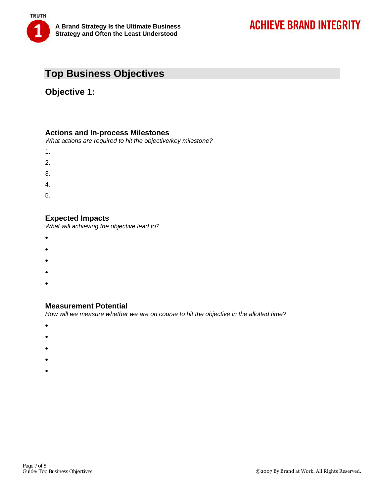

## **Top Business Objectives**

### **Objective 1:**

### **Actions and In-process Milestones**

*What actions are required to hit the objective/key milestone?* 

- 1.
- 2.
- 
- 3.
- 4.
- 5.

### **Expected Impacts**

*What will achieving the objective lead to?* 

- •
- •
- •
- 
- •
- •

### **Measurement Potential**

*How will we measure whether we are on course to hit the objective in the allotted time?* 

- •
- •
- •
- 
- •
- •